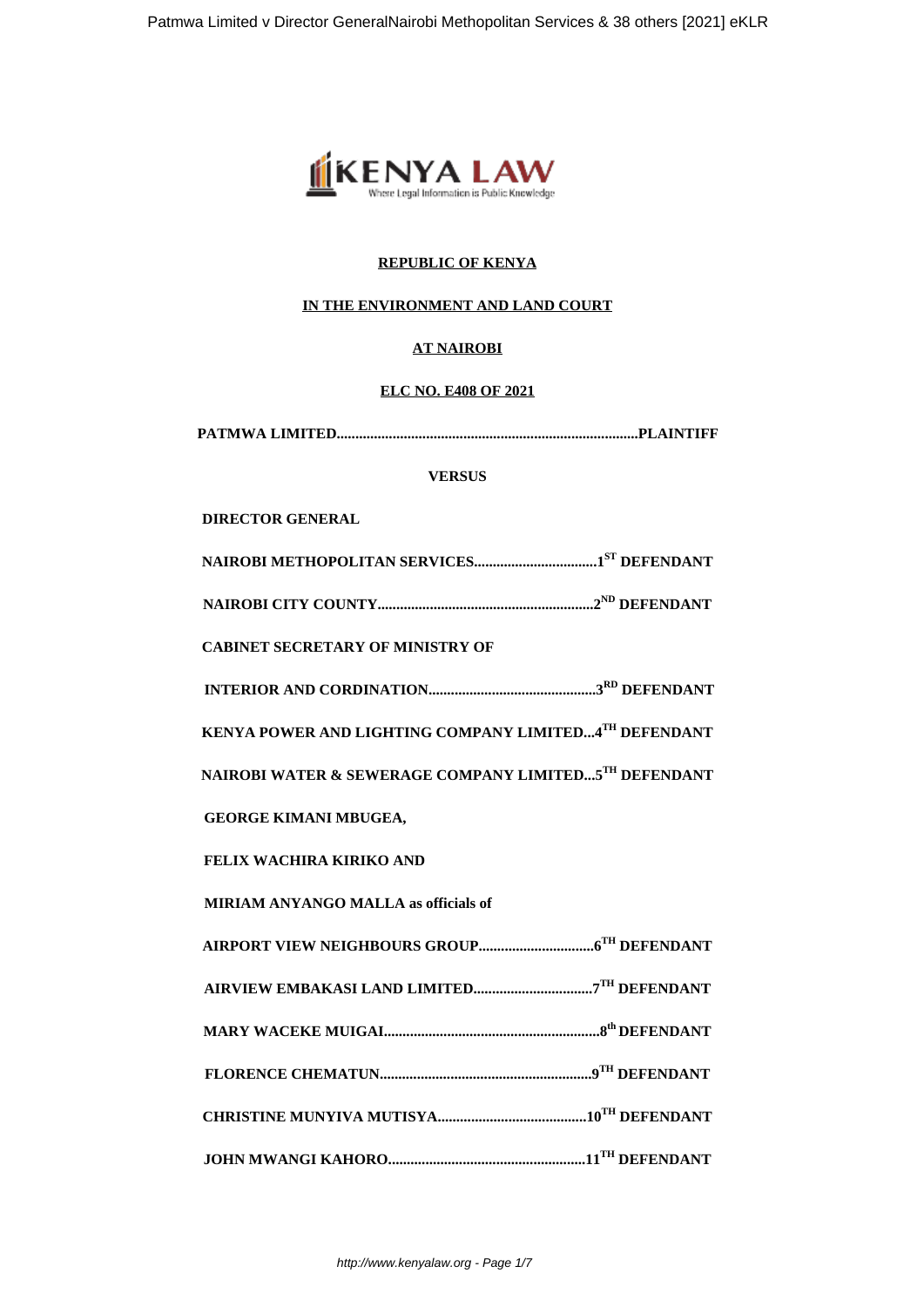

# **REPUBLIC OF KENYA**

# **IN THE ENVIRONMENT AND LAND COURT**

## **AT NAIROBI**

## **ELC NO. E408 OF 2021**

| <b>VERSUS</b>                                         |  |  |
|-------------------------------------------------------|--|--|
| <b>DIRECTOR GENERAL</b>                               |  |  |
|                                                       |  |  |
|                                                       |  |  |
| <b>CABINET SECRETARY OF MINISTRY OF</b>               |  |  |
|                                                       |  |  |
| KENYA POWER AND LIGHTING COMPANY LIMITED4TH DEFENDANT |  |  |
| NAIROBI WATER & SEWERAGE COMPANY LIMITED5TH DEFENDANT |  |  |
| <b>GEORGE KIMANI MBUGEA,</b>                          |  |  |
| FELIX WACHIRA KIRIKO AND                              |  |  |
| <b>MIRIAM ANYANGO MALLA as officials of</b>           |  |  |
|                                                       |  |  |
|                                                       |  |  |
|                                                       |  |  |
|                                                       |  |  |
|                                                       |  |  |
|                                                       |  |  |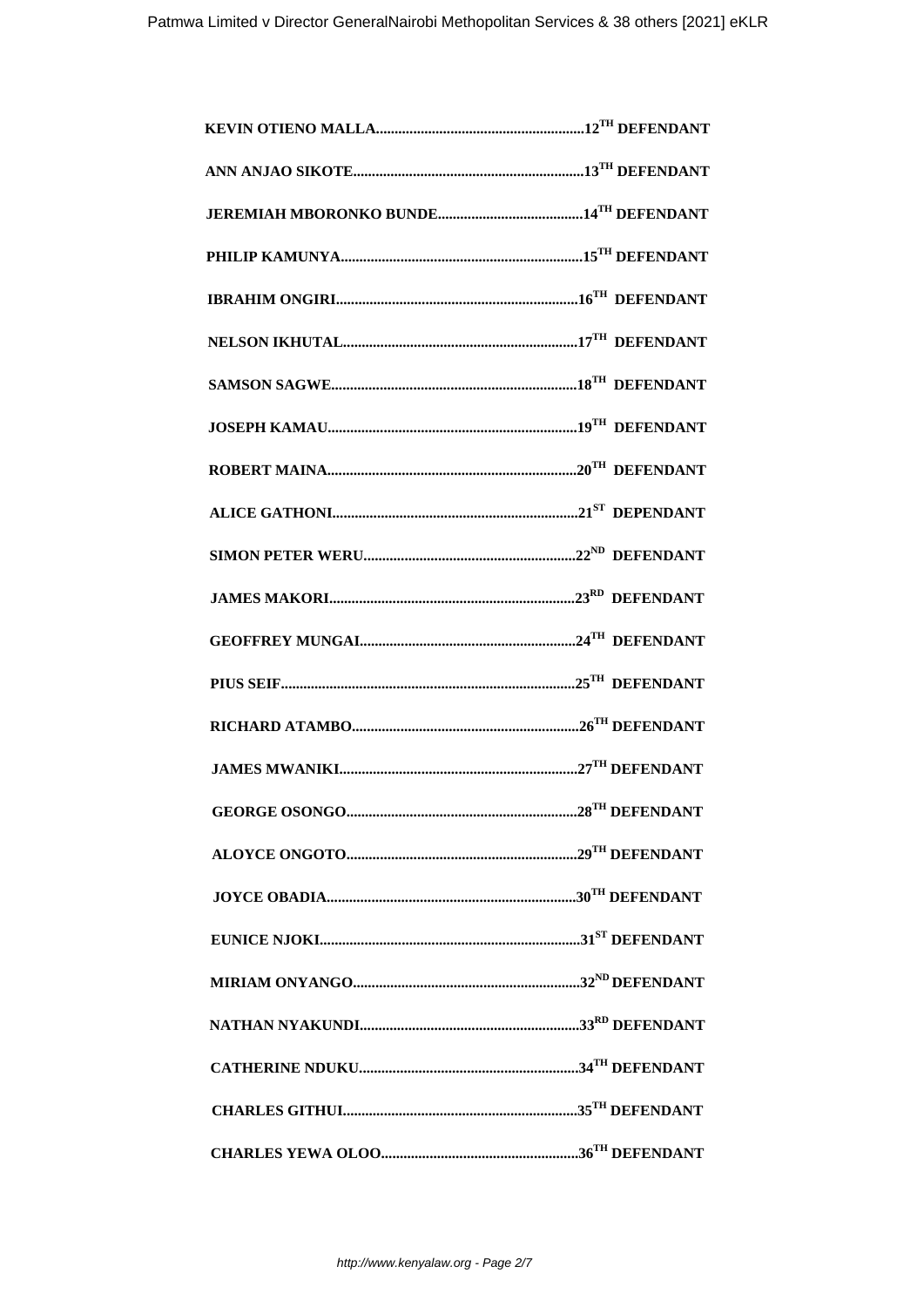| ${\bf \textbf{ROBERT~MAINA}}.\textcolor{red}{}}$ |                             |
|--------------------------------------------------|-----------------------------|
|                                                  |                             |
|                                                  |                             |
|                                                  |                             |
|                                                  |                             |
|                                                  |                             |
|                                                  |                             |
|                                                  |                             |
|                                                  | $.28^{\text{TH}}$ DEFENDANT |
|                                                  |                             |
|                                                  |                             |
|                                                  |                             |
|                                                  |                             |
|                                                  |                             |
|                                                  |                             |
|                                                  |                             |
|                                                  |                             |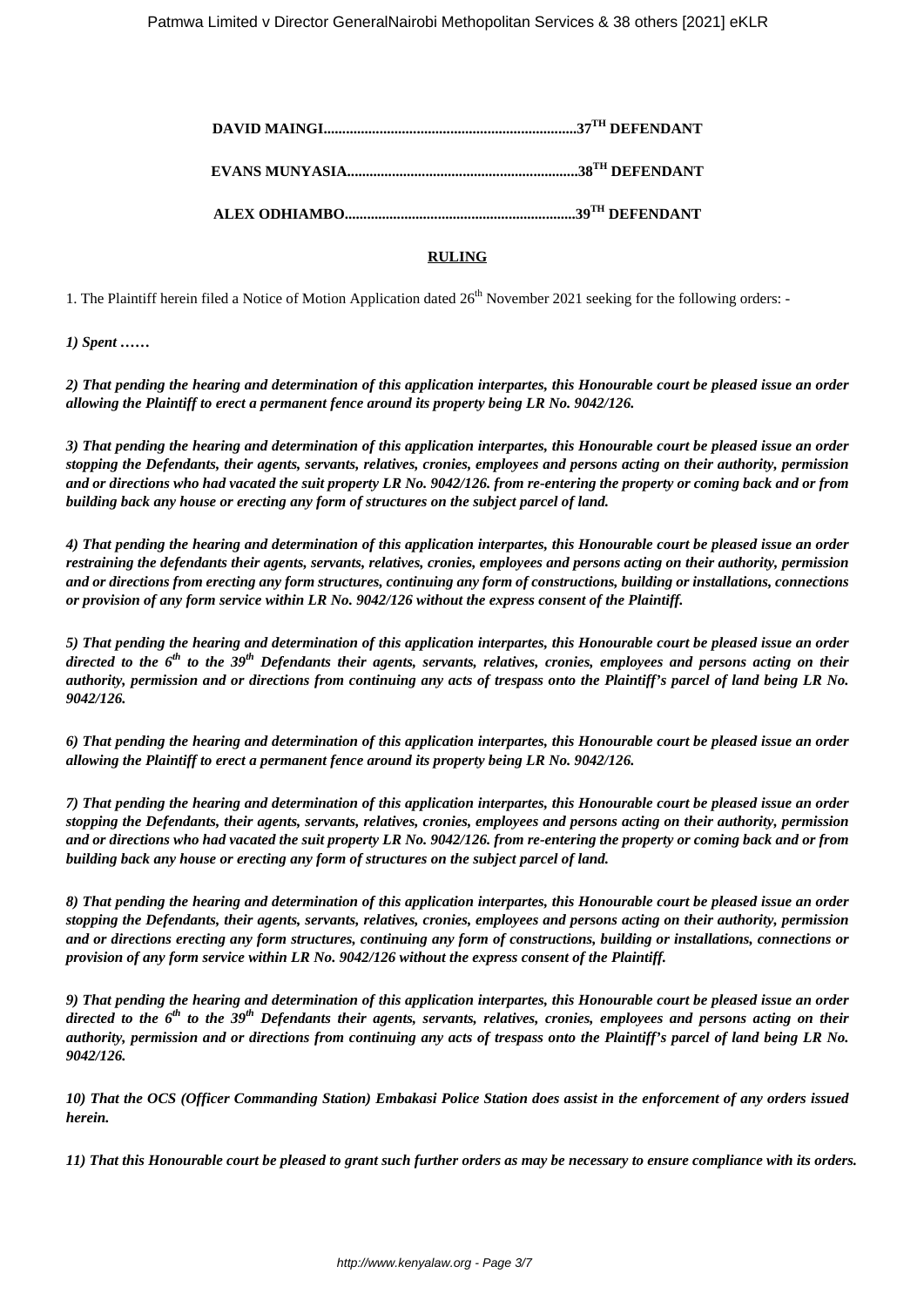## **RULING**

1. The Plaintiff herein filed a Notice of Motion Application dated 26<sup>th</sup> November 2021 seeking for the following orders: -

*1) Spent ……*

*2) That pending the hearing and determination of this application interpartes, this Honourable court be pleased issue an order allowing the Plaintiff to erect a permanent fence around its property being LR No. 9042/126.*

*3) That pending the hearing and determination of this application interpartes, this Honourable court be pleased issue an order stopping the Defendants, their agents, servants, relatives, cronies, employees and persons acting on their authority, permission and or directions who had vacated the suit property LR No. 9042/126. from re-entering the property or coming back and or from building back any house or erecting any form of structures on the subject parcel of land.*

*4) That pending the hearing and determination of this application interpartes, this Honourable court be pleased issue an order restraining the defendants their agents, servants, relatives, cronies, employees and persons acting on their authority, permission and or directions from erecting any form structures, continuing any form of constructions, building or installations, connections or provision of any form service within LR No. 9042/126 without the express consent of the Plaintiff.*

*5) That pending the hearing and determination of this application interpartes, this Honourable court be pleased issue an order directed to the 6th to the 39th Defendants their agents, servants, relatives, cronies, employees and persons acting on their authority, permission and or directions from continuing any acts of trespass onto the Plaintiff's parcel of land being LR No. 9042/126.*

*6) That pending the hearing and determination of this application interpartes, this Honourable court be pleased issue an order allowing the Plaintiff to erect a permanent fence around its property being LR No. 9042/126.*

*7) That pending the hearing and determination of this application interpartes, this Honourable court be pleased issue an order stopping the Defendants, their agents, servants, relatives, cronies, employees and persons acting on their authority, permission and or directions who had vacated the suit property LR No. 9042/126. from re-entering the property or coming back and or from building back any house or erecting any form of structures on the subject parcel of land.*

*8) That pending the hearing and determination of this application interpartes, this Honourable court be pleased issue an order stopping the Defendants, their agents, servants, relatives, cronies, employees and persons acting on their authority, permission and or directions erecting any form structures, continuing any form of constructions, building or installations, connections or provision of any form service within LR No. 9042/126 without the express consent of the Plaintiff.*

*9) That pending the hearing and determination of this application interpartes, this Honourable court be pleased issue an order directed to the 6th to the 39th Defendants their agents, servants, relatives, cronies, employees and persons acting on their authority, permission and or directions from continuing any acts of trespass onto the Plaintiff's parcel of land being LR No. 9042/126.*

*10) That the OCS (Officer Commanding Station) Embakasi Police Station does assist in the enforcement of any orders issued herein.*

*11) That this Honourable court be pleased to grant such further orders as may be necessary to ensure compliance with its orders.*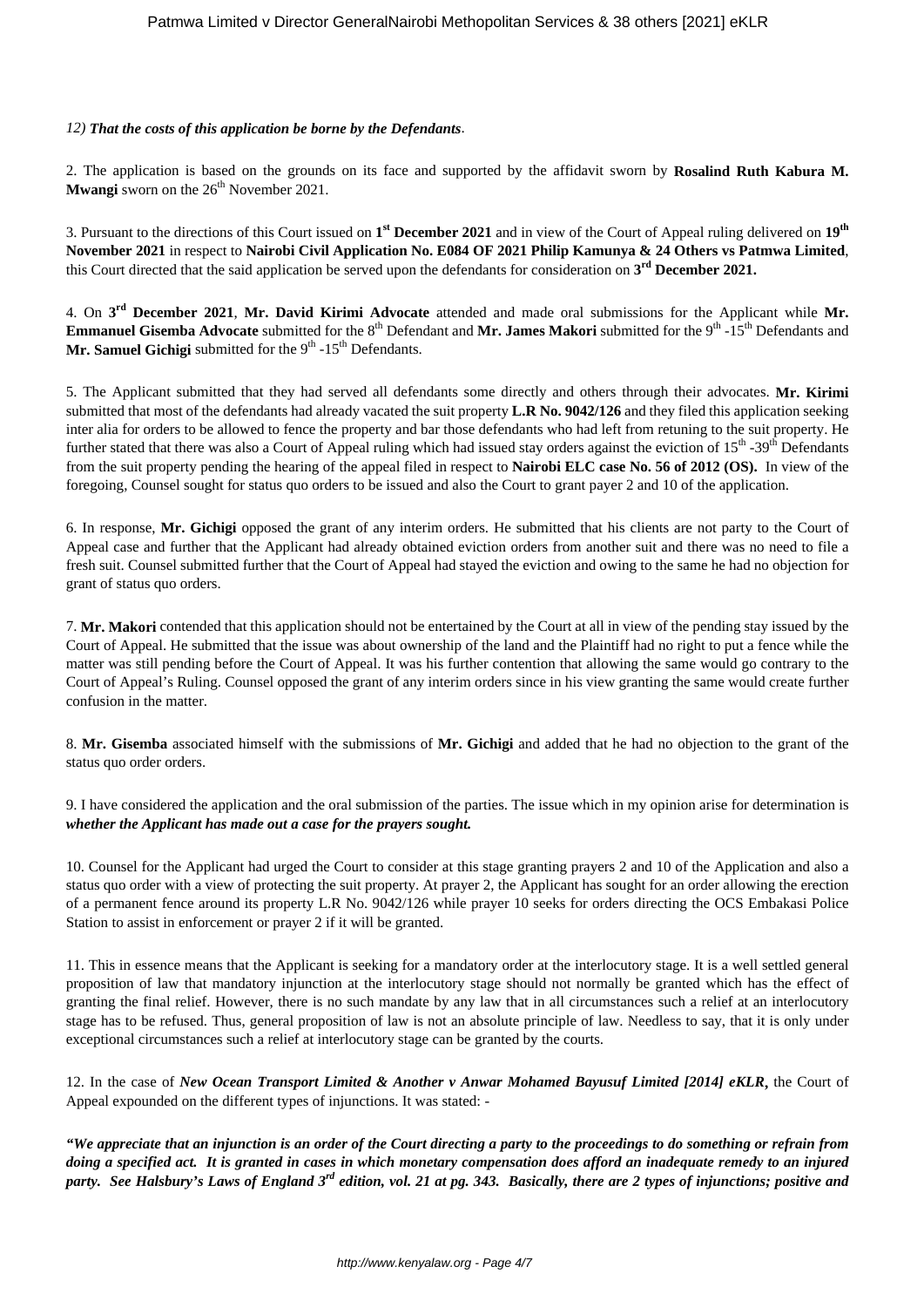## *12) That the costs of this application be borne by the Defendants*.

2. The application is based on the grounds on its face and supported by the affidavit sworn by **Rosalind Ruth Kabura M. Mwangi** sworn on the 26<sup>th</sup> November 2021.

3. Pursuant to the directions of this Court issued on **1 st December 2021** and in view of the Court of Appeal ruling delivered on **19th November 2021** in respect to **Nairobi Civil Application No. E084 OF 2021 Philip Kamunya & 24 Others vs Patmwa Limited**, this Court directed that the said application be served upon the defendants for consideration on **3 rd December 2021.**

4. On **3 rd December 2021**, **Mr. David Kirimi Advocate** attended and made oral submissions for the Applicant while **Mr. Emmanuel Gisemba Advocate** submitted for the 8<sup>th</sup> Defendant and Mr. James Makori submitted for the 9<sup>th</sup> -15<sup>th</sup> Defendants and **Mr. Samuel Gichigi** submitted for the  $9<sup>th</sup> - 15<sup>th</sup>$  Defendants.

5. The Applicant submitted that they had served all defendants some directly and others through their advocates. **Mr. Kirimi** submitted that most of the defendants had already vacated the suit property **L.R No. 9042/126** and they filed this application seeking inter alia for orders to be allowed to fence the property and bar those defendants who had left from retuning to the suit property. He further stated that there was also a Court of Appeal ruling which had issued stay orders against the eviction of 15<sup>th</sup> -39<sup>th</sup> Defendants from the suit property pending the hearing of the appeal filed in respect to **Nairobi ELC case No. 56 of 2012 (OS).** In view of the foregoing, Counsel sought for status quo orders to be issued and also the Court to grant payer 2 and 10 of the application.

6. In response, **Mr. Gichigi** opposed the grant of any interim orders. He submitted that his clients are not party to the Court of Appeal case and further that the Applicant had already obtained eviction orders from another suit and there was no need to file a fresh suit. Counsel submitted further that the Court of Appeal had stayed the eviction and owing to the same he had no objection for grant of status quo orders.

7. **Mr. Makori** contended that this application should not be entertained by the Court at all in view of the pending stay issued by the Court of Appeal. He submitted that the issue was about ownership of the land and the Plaintiff had no right to put a fence while the matter was still pending before the Court of Appeal. It was his further contention that allowing the same would go contrary to the Court of Appeal's Ruling. Counsel opposed the grant of any interim orders since in his view granting the same would create further confusion in the matter.

8. **Mr. Gisemba** associated himself with the submissions of **Mr. Gichigi** and added that he had no objection to the grant of the status quo order orders.

9. I have considered the application and the oral submission of the parties. The issue which in my opinion arise for determination is *whether the Applicant has made out a case for the prayers sought.*

10. Counsel for the Applicant had urged the Court to consider at this stage granting prayers 2 and 10 of the Application and also a status quo order with a view of protecting the suit property. At prayer 2, the Applicant has sought for an order allowing the erection of a permanent fence around its property L.R No. 9042/126 while prayer 10 seeks for orders directing the OCS Embakasi Police Station to assist in enforcement or prayer 2 if it will be granted.

11. This in essence means that the Applicant is seeking for a mandatory order at the interlocutory stage. It is a well settled general proposition of law that mandatory injunction at the interlocutory stage should not normally be granted which has the effect of granting the final relief. However, there is no such mandate by any law that in all circumstances such a relief at an interlocutory stage has to be refused. Thus, general proposition of law is not an absolute principle of law. Needless to say, that it is only under exceptional circumstances such a relief at interlocutory stage can be granted by the courts.

12. In the case of *New Ocean Transport Limited & Another v Anwar Mohamed Bayusuf Limited [2014] eKLR***,** the Court of Appeal expounded on the different types of injunctions. It was stated: -

*"We appreciate that an injunction is an order of the Court directing a party to the proceedings to do something or refrain from doing a specified act. It is granted in cases in which monetary compensation does afford an inadequate remedy to an injured party. See Halsbury's Laws of England 3rd edition, vol. 21 at pg. 343. Basically, there are 2 types of injunctions; positive and*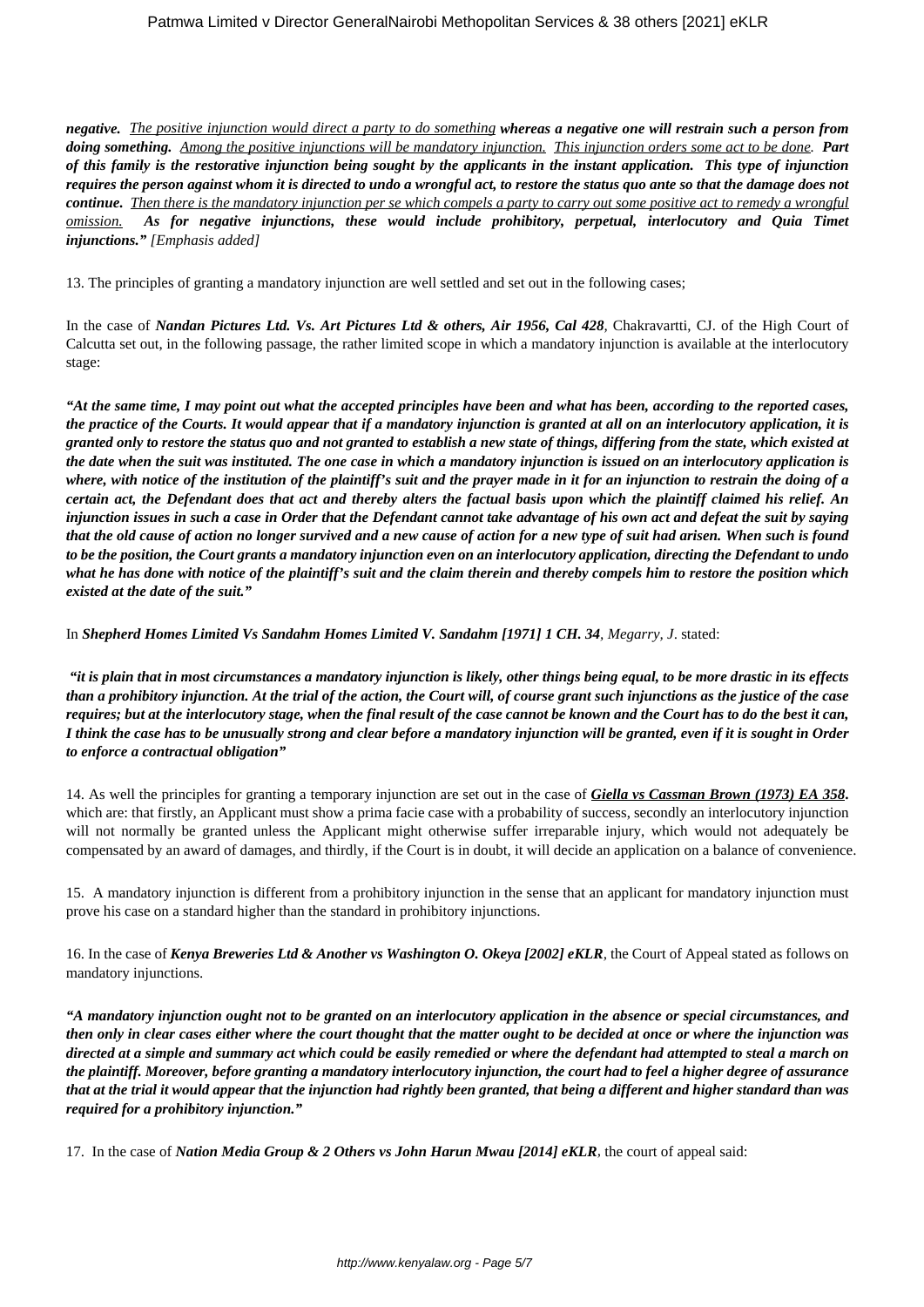*negative. The positive injunction would direct a party to do something whereas a negative one will restrain such a person from doing something. Among the positive injunctions will be mandatory injunction. This injunction orders some act to be done. Part of this family is the restorative injunction being sought by the applicants in the instant application. This type of injunction requires the person against whom it is directed to undo a wrongful act, to restore the status quo ante so that the damage does not continue. Then there is the mandatory injunction per se which compels a party to carry out some positive act to remedy a wrongful omission. As for negative injunctions, these would include prohibitory, perpetual, interlocutory and Quia Timet injunctions." [Emphasis added]*

13. The principles of granting a mandatory injunction are well settled and set out in the following cases;

In the case of *Nandan Pictures Ltd. Vs. Art Pictures Ltd & others, Air 1956, Cal 428,* Chakravartti, CJ. of the High Court of Calcutta set out, in the following passage, the rather limited scope in which a mandatory injunction is available at the interlocutory stage:

*"At the same time, I may point out what the accepted principles have been and what has been, according to the reported cases, the practice of the Courts. It would appear that if a mandatory injunction is granted at all on an interlocutory application, it is granted only to restore the status quo and not granted to establish a new state of things, differing from the state, which existed at the date when the suit was instituted. The one case in which a mandatory injunction is issued on an interlocutory application is where, with notice of the institution of the plaintiff's suit and the prayer made in it for an injunction to restrain the doing of a certain act, the Defendant does that act and thereby alters the factual basis upon which the plaintiff claimed his relief. An injunction issues in such a case in Order that the Defendant cannot take advantage of his own act and defeat the suit by saying that the old cause of action no longer survived and a new cause of action for a new type of suit had arisen. When such is found to be the position, the Court grants a mandatory injunction even on an interlocutory application, directing the Defendant to undo what he has done with notice of the plaintiff's suit and the claim therein and thereby compels him to restore the position which existed at the date of the suit."*

In *Shepherd Homes Limited Vs Sandahm Homes Limited V. Sandahm [1971] 1 CH. 34, Megarry, J*. stated:

*"it is plain that in most circumstances a mandatory injunction is likely, other things being equal, to be more drastic in its effects than a prohibitory injunction. At the trial of the action, the Court will, of course grant such injunctions as the justice of the case requires; but at the interlocutory stage, when the final result of the case cannot be known and the Court has to do the best it can, I think the case has to be unusually strong and clear before a mandatory injunction will be granted, even if it is sought in Order to enforce a contractual obligation"*

14. As well the principles for granting a temporary injunction are set out in the case of *Giella vs Cassman Brown (1973) EA 358***.** which are: that firstly, an Applicant must show a prima facie case with a probability of success, secondly an interlocutory injunction will not normally be granted unless the Applicant might otherwise suffer irreparable injury, which would not adequately be compensated by an award of damages, and thirdly, if the Court is in doubt, it will decide an application on a balance of convenience.

15. A mandatory injunction is different from a prohibitory injunction in the sense that an applicant for mandatory injunction must prove his case on a standard higher than the standard in prohibitory injunctions.

16. In the case of *Kenya Breweries Ltd & Another vs Washington O. Okeya [2002] eKLR,* the Court of Appeal stated as follows on mandatory injunctions.

*"A mandatory injunction ought not to be granted on an interlocutory application in the absence or special circumstances, and then only in clear cases either where the court thought that the matter ought to be decided at once or where the injunction was directed at a simple and summary act which could be easily remedied or where the defendant had attempted to steal a march on the plaintiff. Moreover, before granting a mandatory interlocutory injunction, the court had to feel a higher degree of assurance that at the trial it would appear that the injunction had rightly been granted, that being a different and higher standard than was required for a prohibitory injunction."*

17. In the case of *Nation Media Group & 2 Others vs John Harun Mwau [2014] eKLR,* the court of appeal said: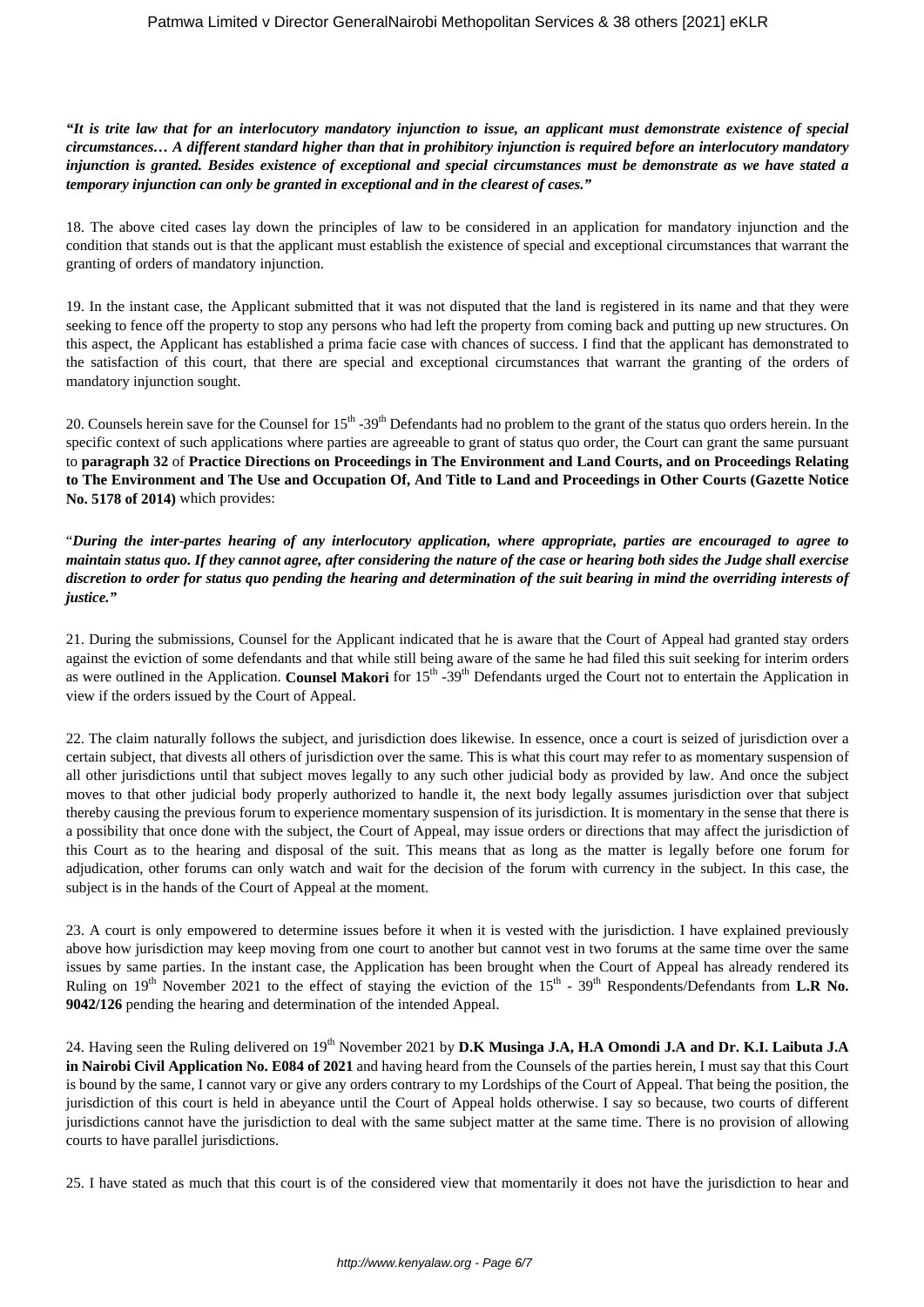*"It is trite law that for an interlocutory mandatory injunction to issue, an applicant must demonstrate existence of special circumstances… A different standard higher than that in prohibitory injunction is required before an interlocutory mandatory injunction is granted. Besides existence of exceptional and special circumstances must be demonstrate as we have stated a temporary injunction can only be granted in exceptional and in the clearest of cases."*

18. The above cited cases lay down the principles of law to be considered in an application for mandatory injunction and the condition that stands out is that the applicant must establish the existence of special and exceptional circumstances that warrant the granting of orders of mandatory injunction.

19. In the instant case, the Applicant submitted that it was not disputed that the land is registered in its name and that they were seeking to fence off the property to stop any persons who had left the property from coming back and putting up new structures. On this aspect, the Applicant has established a prima facie case with chances of success. I find that the applicant has demonstrated to the satisfaction of this court, that there are special and exceptional circumstances that warrant the granting of the orders of mandatory injunction sought.

20. Counsels herein save for the Counsel for  $15<sup>th</sup> - 39<sup>th</sup>$  Defendants had no problem to the grant of the status quo orders herein. In the specific context of such applications where parties are agreeable to grant of status quo order, the Court can grant the same pursuant to **paragraph 32** of **Practice Directions on Proceedings in The Environment and Land Courts, and on Proceedings Relating to The Environment and The Use and Occupation Of, And Title to Land and Proceedings in Other Courts (Gazette Notice No. 5178 of 2014)** which provides:

"*During the inter-partes hearing of any interlocutory application, where appropriate, parties are encouraged to agree to maintain status quo. If they cannot agree, after considering the nature of the case or hearing both sides the Judge shall exercise discretion to order for status quo pending the hearing and determination of the suit bearing in mind the overriding interests of justice."*

21. During the submissions, Counsel for the Applicant indicated that he is aware that the Court of Appeal had granted stay orders against the eviction of some defendants and that while still being aware of the same he had filed this suit seeking for interim orders as were outlined in the Application. **Counsel Makori** for 15<sup>th</sup> -39<sup>th</sup> Defendants urged the Court not to entertain the Application in view if the orders issued by the Court of Appeal.

22. The claim naturally follows the subject, and jurisdiction does likewise. In essence, once a court is seized of jurisdiction over a certain subject, that divests all others of jurisdiction over the same. This is what this court may refer to as momentary suspension of all other jurisdictions until that subject moves legally to any such other judicial body as provided by law. And once the subject moves to that other judicial body properly authorized to handle it, the next body legally assumes jurisdiction over that subject thereby causing the previous forum to experience momentary suspension of its jurisdiction. It is momentary in the sense that there is a possibility that once done with the subject, the Court of Appeal, may issue orders or directions that may affect the jurisdiction of this Court as to the hearing and disposal of the suit. This means that as long as the matter is legally before one forum for adjudication, other forums can only watch and wait for the decision of the forum with currency in the subject. In this case, the subject is in the hands of the Court of Appeal at the moment.

23. A court is only empowered to determine issues before it when it is vested with the jurisdiction. I have explained previously above how jurisdiction may keep moving from one court to another but cannot vest in two forums at the same time over the same issues by same parties. In the instant case, the Application has been brought when the Court of Appeal has already rendered its Ruling on  $19^{th}$  November 2021 to the effect of staying the eviction of the  $15^{th}$  -  $39^{th}$  Respondents/Defendants from **L.R No. 9042/126** pending the hearing and determination of the intended Appeal.

24. Having seen the Ruling delivered on 19<sup>th</sup> November 2021 by **D.K Musinga J.A, H.A Omondi J.A and Dr. K.I. Laibuta J.A in Nairobi Civil Application No. E084 of 2021** and having heard from the Counsels of the parties herein, I must say that this Court is bound by the same, I cannot vary or give any orders contrary to my Lordships of the Court of Appeal. That being the position, the jurisdiction of this court is held in abeyance until the Court of Appeal holds otherwise. I say so because, two courts of different jurisdictions cannot have the jurisdiction to deal with the same subject matter at the same time. There is no provision of allowing courts to have parallel jurisdictions.

25. I have stated as much that this court is of the considered view that momentarily it does not have the jurisdiction to hear and